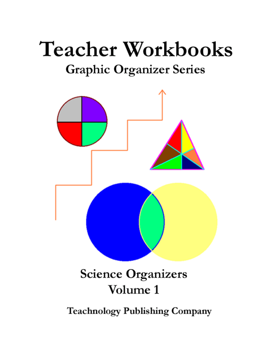# **Teacher Workbooks Graphic Organizer Series**



**Teachnology Publishing Company**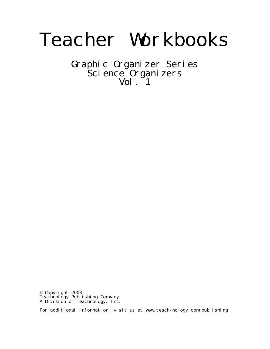# Teacher Workbooks

Graphic Organizer Series Science Organizers  $Vol.$   $1$ 

© Copyright 2003 Teachnology Publishing Company A Division of Teachnology, Inc.

For additional information, visit us at www.teach-nology.com/publishing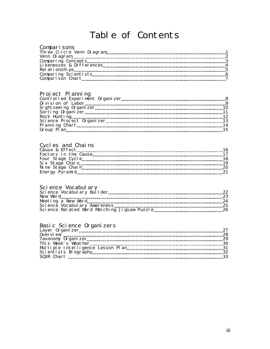### Table of Contents

#### Comparisons

#### Project Planning

#### Cycles and Chains

#### Science Vocabulary

#### Basic Science Organizers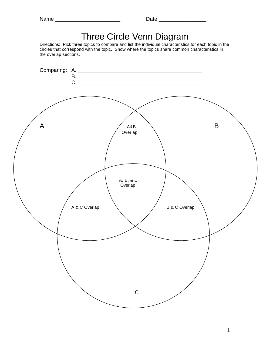| ۰<br>I٢<br>ſ<br>г. |  |
|--------------------|--|
|--------------------|--|

# Three Circle Venn Diagram

Directions: Pick three topics to compare and list the individual characteristics for each topic in the circles that correspond with the topic. Show where the topics share common characteristics in the overlap sections.

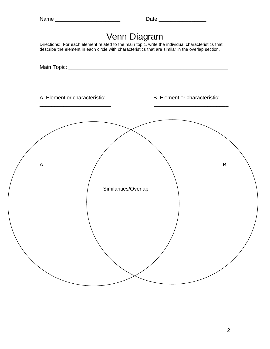| г<br>۹<br>× |
|-------------|
|-------------|



Directions: For each element related to the main topic, write the individual characteristics that describe the element in each circle with characteristics that are similar in the overlap section.

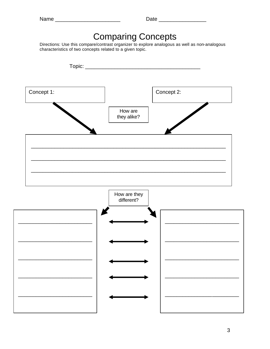| г. | .n |  |
|----|----|--|
|----|----|--|

# **Comparing Concepts**

Directions: Use this compare/contrast organizer to explore analogous as well as non-analogous characteristics of two concepts related to a given topic.

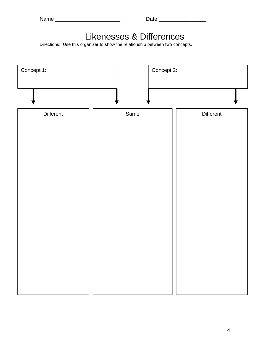# Likenesses & Differences

Directions: Use this organizer to show the relationship between two concepts.

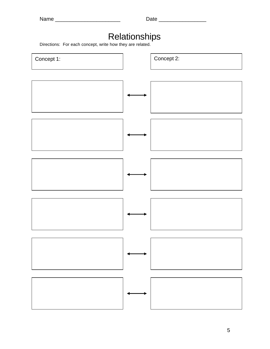# Relationships

Directions: For each concept, write how they are related.

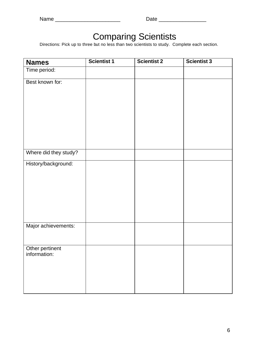### Comparing Scientists

Directions: Pick up to three but no less than two scientists to study. Complete each section.

| <b>Names</b>                    | <b>Scientist 1</b> | <b>Scientist 2</b> | Scientist 3 |
|---------------------------------|--------------------|--------------------|-------------|
| Time period:                    |                    |                    |             |
| Best known for:                 |                    |                    |             |
|                                 |                    |                    |             |
|                                 |                    |                    |             |
|                                 |                    |                    |             |
|                                 |                    |                    |             |
|                                 |                    |                    |             |
|                                 |                    |                    |             |
| Where did they study?           |                    |                    |             |
| History/background:             |                    |                    |             |
|                                 |                    |                    |             |
|                                 |                    |                    |             |
|                                 |                    |                    |             |
|                                 |                    |                    |             |
|                                 |                    |                    |             |
| Major achievements:             |                    |                    |             |
|                                 |                    |                    |             |
|                                 |                    |                    |             |
| Other pertinent<br>information: |                    |                    |             |
|                                 |                    |                    |             |
|                                 |                    |                    |             |
|                                 |                    |                    |             |
|                                 |                    |                    |             |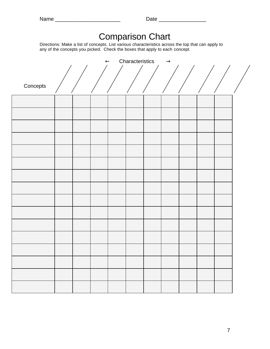|          | Directions: Make a list of concepts. List various characteristics across the top that can apply to<br>any of the concepts you picked. Check the boxes that apply to each concept. |  | <b>Comparison Chart</b> |               |  |  |
|----------|-----------------------------------------------------------------------------------------------------------------------------------------------------------------------------------|--|-------------------------|---------------|--|--|
|          |                                                                                                                                                                                   |  | Characteristics         | $\rightarrow$ |  |  |
|          |                                                                                                                                                                                   |  |                         |               |  |  |
| Concepts |                                                                                                                                                                                   |  |                         |               |  |  |
|          |                                                                                                                                                                                   |  |                         |               |  |  |
|          |                                                                                                                                                                                   |  |                         |               |  |  |
|          |                                                                                                                                                                                   |  |                         |               |  |  |
|          |                                                                                                                                                                                   |  |                         |               |  |  |
|          |                                                                                                                                                                                   |  |                         |               |  |  |
|          |                                                                                                                                                                                   |  |                         |               |  |  |
|          |                                                                                                                                                                                   |  |                         |               |  |  |
|          |                                                                                                                                                                                   |  |                         |               |  |  |
|          |                                                                                                                                                                                   |  |                         |               |  |  |
|          |                                                                                                                                                                                   |  |                         |               |  |  |
|          |                                                                                                                                                                                   |  |                         |               |  |  |
|          |                                                                                                                                                                                   |  |                         |               |  |  |
|          |                                                                                                                                                                                   |  |                         |               |  |  |
|          |                                                                                                                                                                                   |  |                         |               |  |  |
|          |                                                                                                                                                                                   |  |                         |               |  |  |
|          |                                                                                                                                                                                   |  |                         |               |  |  |
|          |                                                                                                                                                                                   |  |                         |               |  |  |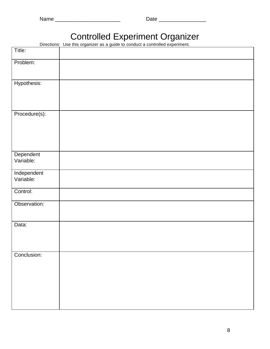## Controlled Experiment Organizer

Directions: Use this organizer as a guide to conduct a controlled experiment.

| Title:                   |  |  |
|--------------------------|--|--|
| Problem:                 |  |  |
| Hypothesis:              |  |  |
| Procedure(s):            |  |  |
| Dependent<br>Variable:   |  |  |
| Independent<br>Variable: |  |  |
| Control:                 |  |  |
| Observation:             |  |  |
| Data:                    |  |  |
| Conclusion:              |  |  |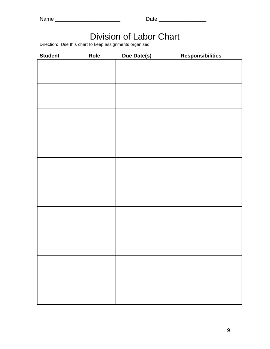| э<br>I I<br>n<br>u |  |
|--------------------|--|
|--------------------|--|

# Division of Labor Chart

Direction: Use this chart to keep assignments organized.

| <b>Student</b> | Role | Due Date(s) | <b>Responsibilities</b> |
|----------------|------|-------------|-------------------------|
|                |      |             |                         |
|                |      |             |                         |
|                |      |             |                         |
|                |      |             |                         |
|                |      |             |                         |
|                |      |             |                         |
|                |      |             |                         |
|                |      |             |                         |
|                |      |             |                         |
|                |      |             |                         |
|                |      |             |                         |
|                |      |             |                         |
|                |      |             |                         |
|                |      |             |                         |
|                |      |             |                         |
|                |      |             |                         |
|                |      |             |                         |
|                |      |             |                         |
|                |      |             |                         |
|                |      |             |                         |
|                |      |             |                         |
|                |      |             |                         |
|                |      |             |                         |
|                |      |             |                         |
|                |      |             |                         |
|                |      |             |                         |
|                |      |             |                         |
|                |      |             |                         |
|                |      |             |                         |
|                |      |             |                         |
|                |      |             |                         |
|                |      |             |                         |
|                |      |             |                         |
|                |      |             |                         |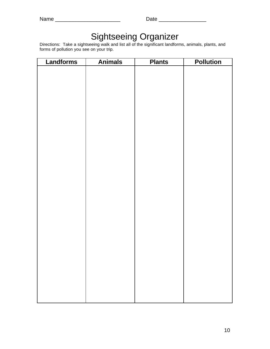| am<br>э.<br>u |  |
|---------------|--|
|---------------|--|

# Sightseeing Organizer

Directions: Take a sightseeing walk and list all of the significant landforms, animals, plants, and forms of pollution you see on your trip.

| Landforms | <b>Animals</b> | <b>Plants</b> | <b>Pollution</b> |
|-----------|----------------|---------------|------------------|
|           |                |               |                  |
|           |                |               |                  |
|           |                |               |                  |
|           |                |               |                  |
|           |                |               |                  |
|           |                |               |                  |
|           |                |               |                  |
|           |                |               |                  |
|           |                |               |                  |
|           |                |               |                  |
|           |                |               |                  |
|           |                |               |                  |
|           |                |               |                  |
|           |                |               |                  |
|           |                |               |                  |
|           |                |               |                  |
|           |                |               |                  |
|           |                |               |                  |
|           |                |               |                  |
|           |                |               |                  |
|           |                |               |                  |
|           |                |               |                  |
|           |                |               |                  |
|           |                |               |                  |
|           |                |               |                  |
|           |                |               |                  |
|           |                |               |                  |
|           |                |               |                  |
|           |                |               |                  |
|           |                |               |                  |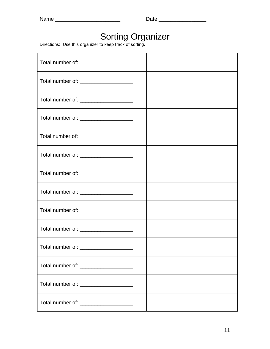#### Sorting Organizer

Directions: Use this organizer to keep track of sorting.

| Total number of: _____________________   |  |
|------------------------------------------|--|
| Total number of: _____________________   |  |
| Total number of: _____________________   |  |
| Total number of: ______________________  |  |
| Total number of: ____________________    |  |
| Total number of: ______________________  |  |
| Total number of: _______________________ |  |
| Total number of: ______________________  |  |
| Total number of: _____________________   |  |
| Total number of: ______________________  |  |
| Total number of: _____________________   |  |
| Total number of: _____________________   |  |
| Total number of: _______________________ |  |
| Total number of: _______________________ |  |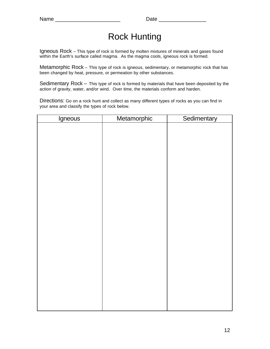# Rock Hunting

Igneous Rock – This type of rock is formed by molten mixtures of minerals and gases found within the Earth's surface called magma. As the magma cools, igneous rock is formed.

Metamorphic Rock – This type of rock is igneous, sedimentary, or metamorphic rock that has been changed by heat, pressure, or permeation by other substances.

Sedimentary Rock – This type of rock is formed by materials that have been deposited by the action of gravity, water, and/or wind. Over time, the materials conform and harden.

Directions: Go on a rock hunt and collect as many different types of rocks as you can find in your area and classify the types of rock below.

| Igneous | Metamorphic | Sedimentary |
|---------|-------------|-------------|
|         |             |             |
|         |             |             |
|         |             |             |
|         |             |             |
|         |             |             |
|         |             |             |
|         |             |             |
|         |             |             |
|         |             |             |
|         |             |             |
|         |             |             |
|         |             |             |
|         |             |             |
|         |             |             |
|         |             |             |
|         |             |             |
|         |             |             |
|         |             |             |
|         |             |             |
|         |             |             |
|         |             |             |
|         |             |             |
|         |             |             |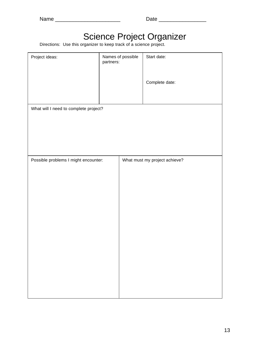| ır<br>a an<br>г. |  |
|------------------|--|
|------------------|--|

## Science Project Organizer

Directions: Use this organizer to keep track of a science project.

| Project ideas:                        | partners: | Names of possible | Start date:                   |
|---------------------------------------|-----------|-------------------|-------------------------------|
|                                       |           |                   | Complete date:                |
| What will I need to complete project? |           |                   |                               |
|                                       |           |                   |                               |
|                                       |           |                   |                               |
| Possible problems I might encounter:  |           |                   | What must my project achieve? |
|                                       |           |                   |                               |
|                                       |           |                   |                               |
|                                       |           |                   |                               |
|                                       |           |                   |                               |
|                                       |           |                   |                               |
|                                       |           |                   |                               |
|                                       |           |                   |                               |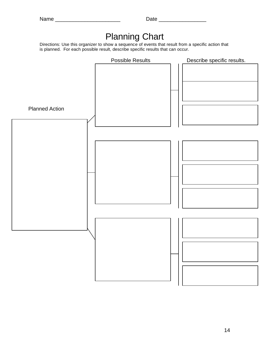# Planning Chart

Directions: Use this organizer to show a sequence of events that result from a specific action that is planned. For each possible result, describe specific results that can occur.

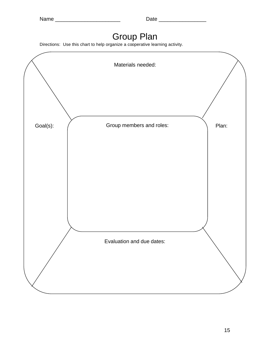# Group Plan

Directions: Use this chart to help organize a cooperative learning activity.

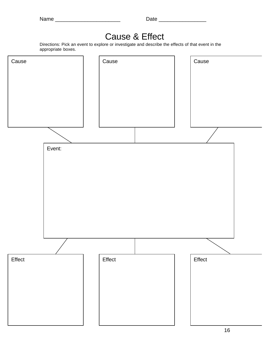# Cause & Effect

Directions: Pick an event to explore or investigate and describe the effects of that event in the appropriate boxes.

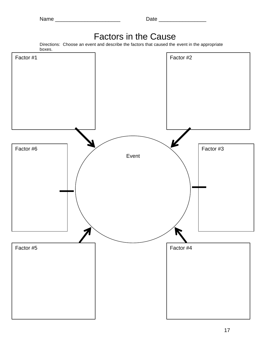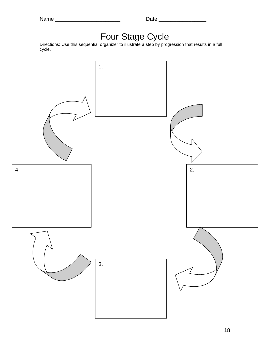|  | r<br>г. |  |  |
|--|---------|--|--|
|--|---------|--|--|

### Four Stage Cycle

Directions: Use this sequential organizer to illustrate a step by progression that results in a full cycle.

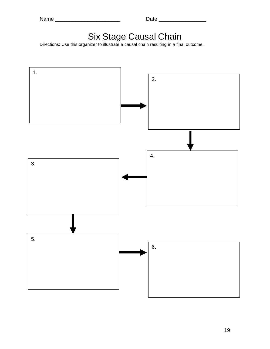| am<br>э<br>۷ |  |
|--------------|--|
|--------------|--|

# Six Stage Causal Chain

Directions: Use this organizer to illustrate a causal chain resulting in a final outcome.

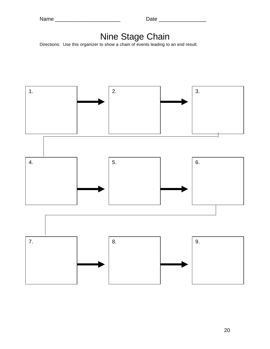#### Nine Stage Chain

Directions: Use this organizer to show a chain of events leading to an end result.



20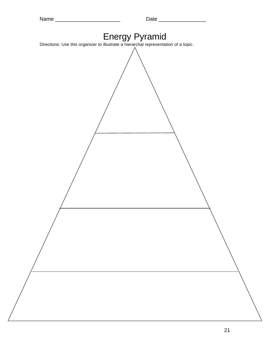| Energy Pyramid<br>Directions: Use this organizer to illustrate a hierarchal representation of a topic. |  |
|--------------------------------------------------------------------------------------------------------|--|
|                                                                                                        |  |
|                                                                                                        |  |
|                                                                                                        |  |
|                                                                                                        |  |
|                                                                                                        |  |
|                                                                                                        |  |
|                                                                                                        |  |
|                                                                                                        |  |
|                                                                                                        |  |
|                                                                                                        |  |
|                                                                                                        |  |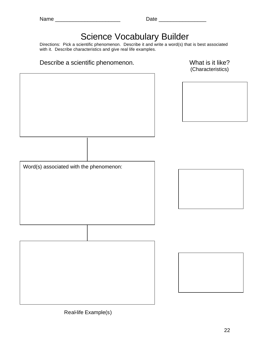# Science Vocabulary Builder

Directions: Pick a scientific phenomenon. Describe it and write a word(s) that is best associated with it. Describe characteristics and give real life examples.

#### Describe a scientific phenomenon. The model of the What is it like?

(Characteristics)



Real-life Example(s)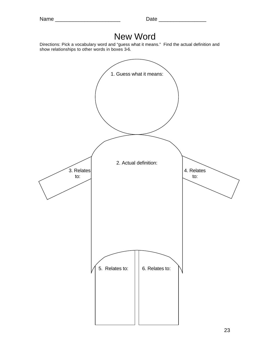# New Word

Directions: Pick a vocabulary word and "guess what it means." Find the actual definition and show relationships to other words in boxes 3-6.

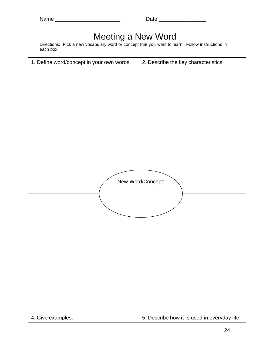## Meeting a New Word

Directions: Pick a new vocabulary word or concept that you want to learn. Follow instructions in each box.

| 1. Define word/concept in your own words. | 2. Describe the key characteristics.         |
|-------------------------------------------|----------------------------------------------|
|                                           |                                              |
|                                           |                                              |
|                                           |                                              |
|                                           |                                              |
|                                           |                                              |
|                                           |                                              |
|                                           |                                              |
|                                           |                                              |
|                                           |                                              |
|                                           |                                              |
|                                           |                                              |
|                                           |                                              |
|                                           |                                              |
|                                           |                                              |
|                                           |                                              |
|                                           | New Word/Concept:                            |
|                                           |                                              |
|                                           |                                              |
|                                           |                                              |
|                                           |                                              |
|                                           |                                              |
|                                           |                                              |
|                                           |                                              |
|                                           |                                              |
|                                           |                                              |
|                                           |                                              |
|                                           |                                              |
|                                           |                                              |
|                                           |                                              |
|                                           |                                              |
|                                           |                                              |
|                                           |                                              |
|                                           |                                              |
| 4. Give examples.                         | 5. Describe how it is used in everyday life. |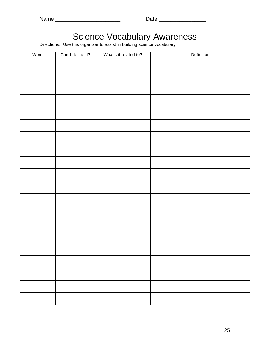| н<br>г. | I |
|---------|---|
|---------|---|

### Science Vocabulary Awareness

Directions: Use this organizer to assist in building science vocabulary.

| Word | Can I define it? | What's it related to? | Definition |
|------|------------------|-----------------------|------------|
|      |                  |                       |            |
|      |                  |                       |            |
|      |                  |                       |            |
|      |                  |                       |            |
|      |                  |                       |            |
|      |                  |                       |            |
|      |                  |                       |            |
|      |                  |                       |            |
|      |                  |                       |            |
|      |                  |                       |            |
|      |                  |                       |            |
|      |                  |                       |            |
|      |                  |                       |            |
|      |                  |                       |            |
|      |                  |                       |            |
|      |                  |                       |            |
|      |                  |                       |            |
|      |                  |                       |            |
|      |                  |                       |            |
|      |                  |                       |            |
|      |                  |                       |            |
|      |                  |                       |            |
|      |                  |                       |            |
|      |                  |                       |            |
|      |                  |                       |            |
|      |                  |                       |            |
|      |                  |                       |            |
|      |                  |                       |            |
|      |                  |                       |            |
|      |                  |                       |            |
|      |                  |                       |            |
|      |                  |                       |            |
|      |                  |                       |            |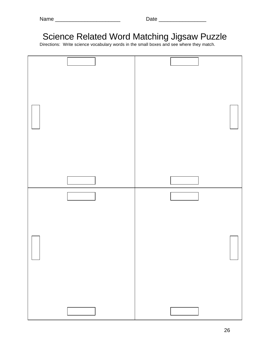| г | r<br>ı |
|---|--------|
|---|--------|

# Science Related Word Matching Jigsaw Puzzle

Directions: Write science vocabulary words in the small boxes and see where they match.

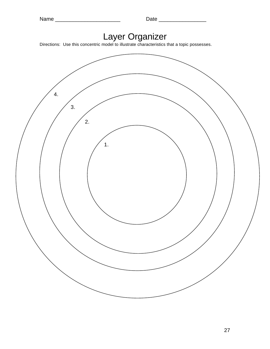#### Layer Organizer

Directions: Use this concentric model to illustrate characteristics that a topic possesses.

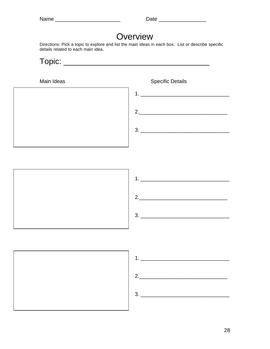### **Overview**

Directions: Pick a topic to explore and list the main ideas in each box. List or describe specific details related to each main idea.



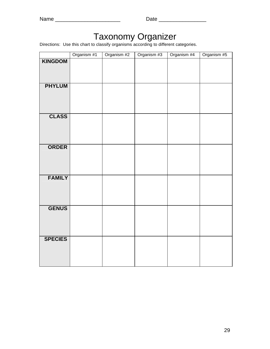## Taxonomy Organizer

Directions: Use this chart to classify organisms according to different categories.

|                | Organism #1 | Organism #2 | Organism #3 | Organism #4 | Organism #5 |
|----------------|-------------|-------------|-------------|-------------|-------------|
| <b>KINGDOM</b> |             |             |             |             |             |
| <b>PHYLUM</b>  |             |             |             |             |             |
| <b>CLASS</b>   |             |             |             |             |             |
| <b>ORDER</b>   |             |             |             |             |             |
| <b>FAMILY</b>  |             |             |             |             |             |
| <b>GENUS</b>   |             |             |             |             |             |
| <b>SPECIES</b> |             |             |             |             |             |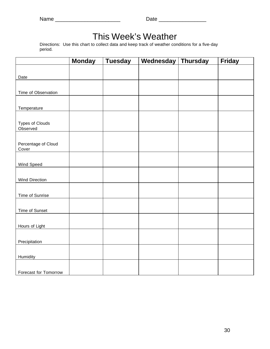# This Week's Weather

Directions: Use this chart to collect data and keep track of weather conditions for a five-day period.

|                              | <b>Monday</b> | <b>Tuesday</b> | Wednesday | <b>Thursday</b> | <b>Friday</b> |
|------------------------------|---------------|----------------|-----------|-----------------|---------------|
|                              |               |                |           |                 |               |
| Date                         |               |                |           |                 |               |
|                              |               |                |           |                 |               |
| Time of Observation          |               |                |           |                 |               |
|                              |               |                |           |                 |               |
| Temperature                  |               |                |           |                 |               |
|                              |               |                |           |                 |               |
| <b>Types of Clouds</b>       |               |                |           |                 |               |
| Observed                     |               |                |           |                 |               |
|                              |               |                |           |                 |               |
| Percentage of Cloud<br>Cover |               |                |           |                 |               |
|                              |               |                |           |                 |               |
| Wind Speed                   |               |                |           |                 |               |
|                              |               |                |           |                 |               |
| <b>Wind Direction</b>        |               |                |           |                 |               |
|                              |               |                |           |                 |               |
| Time of Sunrise              |               |                |           |                 |               |
|                              |               |                |           |                 |               |
| Time of Sunset               |               |                |           |                 |               |
|                              |               |                |           |                 |               |
| Hours of Light               |               |                |           |                 |               |
|                              |               |                |           |                 |               |
| Precipitation                |               |                |           |                 |               |
|                              |               |                |           |                 |               |
| Humidity                     |               |                |           |                 |               |
|                              |               |                |           |                 |               |
| Forecast for Tomorrow        |               |                |           |                 |               |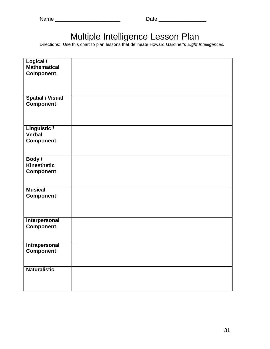## Multiple Intelligence Lesson Plan

Directions: Use this chart to plan lessons that delineate Howard Gardiner's *Eight Intelligences.*

| Logical /<br><b>Mathematical</b><br><b>Component</b> |  |
|------------------------------------------------------|--|
| <b>Spatial / Visual</b><br><b>Component</b>          |  |
| Linguistic /<br><b>Verbal</b><br><b>Component</b>    |  |
| Body /<br><b>Kinesthetic</b><br><b>Component</b>     |  |
| <b>Musical</b><br><b>Component</b>                   |  |
| Interpersonal<br>Component                           |  |
| Intrapersonal<br><b>Component</b>                    |  |
| <b>Naturalistic</b>                                  |  |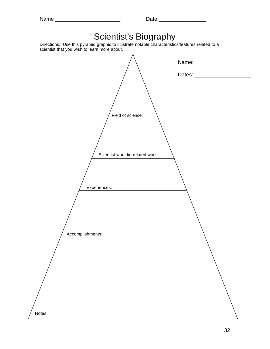